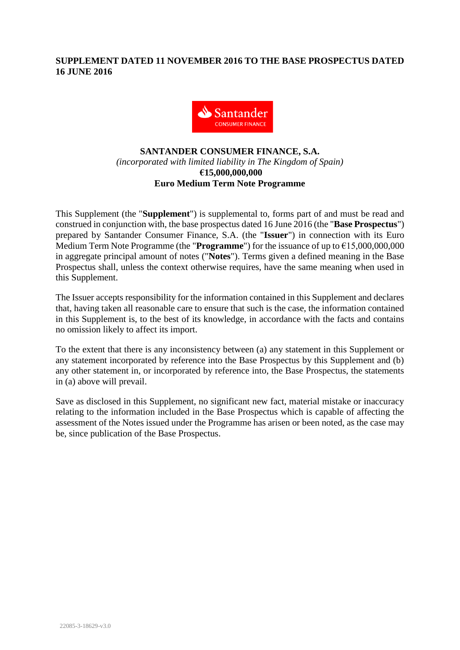# **SUPPLEMENT DATED 11 NOVEMBER 2016 TO THE BASE PROSPECTUS DATED 16 JUNE 2016**



# **SANTANDER CONSUMER FINANCE, S.A.** *(incorporated with limited liability in The Kingdom of Spain)* **€15,000,000,000 Euro Medium Term Note Programme**

This Supplement (the "**Supplement**") is supplemental to, forms part of and must be read and construed in conjunction with, the base prospectus dated 16 June 2016 (the "**Base Prospectus**") prepared by Santander Consumer Finance, S.A. (the "**Issuer**") in connection with its Euro Medium Term Note Programme (the "**Programme**") for the issuance of up to €15,000,000,000 in aggregate principal amount of notes ("**Notes**"). Terms given a defined meaning in the Base Prospectus shall, unless the context otherwise requires, have the same meaning when used in this Supplement.

The Issuer accepts responsibility for the information contained in this Supplement and declares that, having taken all reasonable care to ensure that such is the case, the information contained in this Supplement is, to the best of its knowledge, in accordance with the facts and contains no omission likely to affect its import.

To the extent that there is any inconsistency between (a) any statement in this Supplement or any statement incorporated by reference into the Base Prospectus by this Supplement and (b) any other statement in, or incorporated by reference into, the Base Prospectus, the statements in (a) above will prevail.

Save as disclosed in this Supplement, no significant new fact, material mistake or inaccuracy relating to the information included in the Base Prospectus which is capable of affecting the assessment of the Notes issued under the Programme has arisen or been noted, as the case may be, since publication of the Base Prospectus.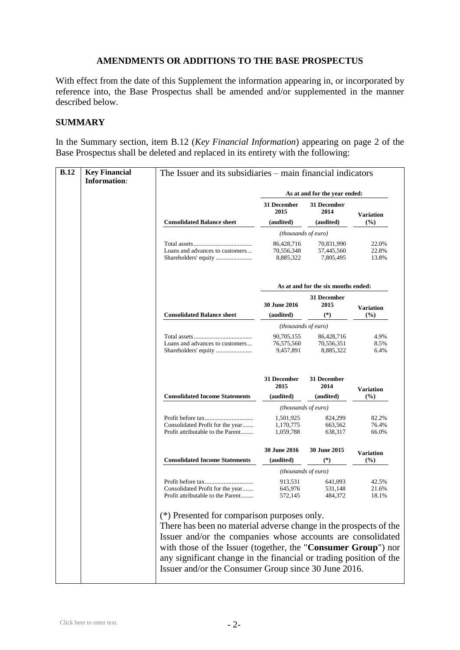#### **AMENDMENTS OR ADDITIONS TO THE BASE PROSPECTUS**

With effect from the date of this Supplement the information appearing in, or incorporated by reference into, the Base Prospectus shall be amended and/or supplemented in the manner described below.

### **SUMMARY**

In the Summary section, item B.12 (*Key Financial Information*) appearing on page 2 of the Base Prospectus shall be deleted and replaced in its entirety with the following:

|  | As at and for the year ended:                                         |                                                                                                                                  |                         |                           |  |
|--|-----------------------------------------------------------------------|----------------------------------------------------------------------------------------------------------------------------------|-------------------------|---------------------------|--|
|  | <b>Consolidated Balance sheet</b>                                     | 31 December<br>2015                                                                                                              | 31 December<br>2014     | <b>Variation</b>          |  |
|  |                                                                       | (audited)                                                                                                                        | (audited)               | (%)                       |  |
|  |                                                                       | (thousands of euro)<br>86.428.716<br>70,831,990                                                                                  |                         |                           |  |
|  | Loans and advances to customers                                       | 70,556,348<br>8,885,322                                                                                                          | 57,445,560<br>7,805,495 | 22.0%<br>22.8%<br>13.8%   |  |
|  |                                                                       | As at and for the six months ended:                                                                                              |                         |                           |  |
|  |                                                                       | <b>30 June 2016</b>                                                                                                              | 31 December<br>2015     |                           |  |
|  | <b>Consolidated Balance sheet</b>                                     | (audited)                                                                                                                        | $(*)$                   | <b>Variation</b><br>(9/0) |  |
|  |                                                                       | (thousands of euro)                                                                                                              |                         |                           |  |
|  |                                                                       | 90,705,155                                                                                                                       | 86,428,716              | 4.9%                      |  |
|  | Loans and advances to customers                                       | 76,575,560<br>9,457,891                                                                                                          | 70,556,351<br>8,885,322 | 8.5%<br>6.4%              |  |
|  |                                                                       | 31 December<br>2015                                                                                                              | 31 December<br>2014     | <b>Variation</b>          |  |
|  | <b>Consolidated Income Statements</b>                                 | (audited)                                                                                                                        | (audited)               | (%)                       |  |
|  |                                                                       | (thousands of euro)                                                                                                              |                         |                           |  |
|  |                                                                       | 1,501,925                                                                                                                        | 824,299                 | 82.2%                     |  |
|  | Consolidated Profit for the year<br>Profit attributable to the Parent | 1,170,775<br>1,059,788                                                                                                           | 663,562<br>638,317      | 76.4%<br>66.0%            |  |
|  |                                                                       | <b>30 June 2016</b>                                                                                                              | 30 June 2015            | <b>Variation</b>          |  |
|  | <b>Consolidated Income Statements</b>                                 | (audited)                                                                                                                        | $(*)$                   | (%)                       |  |
|  |                                                                       | (thousands of euro)                                                                                                              |                         |                           |  |
|  |                                                                       | 913.531                                                                                                                          | 641,093                 | 42.5%                     |  |
|  | Consolidated Profit for the year<br>Profit attributable to the Parent | 645,976<br>572,145                                                                                                               | 531,148<br>484,372      | 21.6%<br>18.1%            |  |
|  | (*) Presented for comparison purposes only.                           | There has been no material adverse change in the prospects of the<br>Issuer and/or the companies whose accounts are consolidated |                         |                           |  |
|  |                                                                       |                                                                                                                                  |                         |                           |  |
|  |                                                                       |                                                                                                                                  |                         |                           |  |
|  | with those of the Issuer (together, the "Consumer Group") nor         |                                                                                                                                  |                         |                           |  |
|  |                                                                       | any significant change in the financial or trading position of the                                                               |                         |                           |  |
|  | Issuer and/or the Consumer Group since 30 June 2016.                  |                                                                                                                                  |                         |                           |  |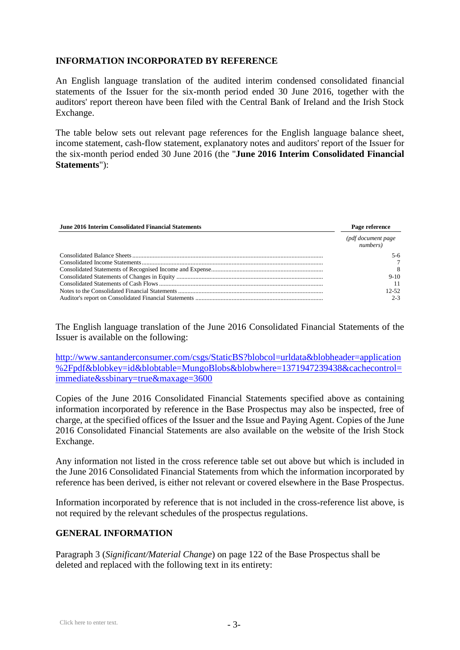### **INFORMATION INCORPORATED BY REFERENCE**

An English language translation of the audited interim condensed consolidated financial statements of the Issuer for the six-month period ended 30 June 2016, together with the auditors' report thereon have been filed with the Central Bank of Ireland and the Irish Stock Exchange.

The table below sets out relevant page references for the English language balance sheet, income statement, cash-flow statement, explanatory notes and auditors' report of the Issuer for the six-month period ended 30 June 2016 (the "**June 2016 Interim Consolidated Financial Statements**"):

| <b>June 2016 Interim Consolidated Financial Statements</b> | Page reference                 |  |
|------------------------------------------------------------|--------------------------------|--|
|                                                            | (pdf document page<br>numbers) |  |
|                                                            | 5-6                            |  |
|                                                            |                                |  |
|                                                            | 8                              |  |
|                                                            | $9-10$                         |  |
|                                                            |                                |  |
|                                                            | $12-52$                        |  |
|                                                            | $2 - 3$                        |  |

The English language translation of the June 2016 Consolidated Financial Statements of the Issuer is available on the following:

[http://www.santanderconsumer.com/csgs/StaticBS?blobcol=urldata&blobheader=application](http://www.santanderconsumer.com/csgs/StaticBS?blobcol=urldata&blobheader=application%2Fpdf&blobkey=id&blobtable=MungoBlobs&blobwhere=1371947239438&cachecontrol=immediate&ssbinary=true&maxage=3600) [%2Fpdf&blobkey=id&blobtable=MungoBlobs&blobwhere=1371947239438&cachecontrol=](http://www.santanderconsumer.com/csgs/StaticBS?blobcol=urldata&blobheader=application%2Fpdf&blobkey=id&blobtable=MungoBlobs&blobwhere=1371947239438&cachecontrol=immediate&ssbinary=true&maxage=3600) [immediate&ssbinary=true&maxage=3600](http://www.santanderconsumer.com/csgs/StaticBS?blobcol=urldata&blobheader=application%2Fpdf&blobkey=id&blobtable=MungoBlobs&blobwhere=1371947239438&cachecontrol=immediate&ssbinary=true&maxage=3600)

Copies of the June 2016 Consolidated Financial Statements specified above as containing information incorporated by reference in the Base Prospectus may also be inspected, free of charge, at the specified offices of the Issuer and the Issue and Paying Agent. Copies of the June 2016 Consolidated Financial Statements are also available on the website of the Irish Stock Exchange.

Any information not listed in the cross reference table set out above but which is included in the June 2016 Consolidated Financial Statements from which the information incorporated by reference has been derived, is either not relevant or covered elsewhere in the Base Prospectus.

Information incorporated by reference that is not included in the cross-reference list above, is not required by the relevant schedules of the prospectus regulations.

### **GENERAL INFORMATION**

Paragraph 3 (*Significant/Material Change*) on page 122 of the Base Prospectus shall be deleted and replaced with the following text in its entirety: